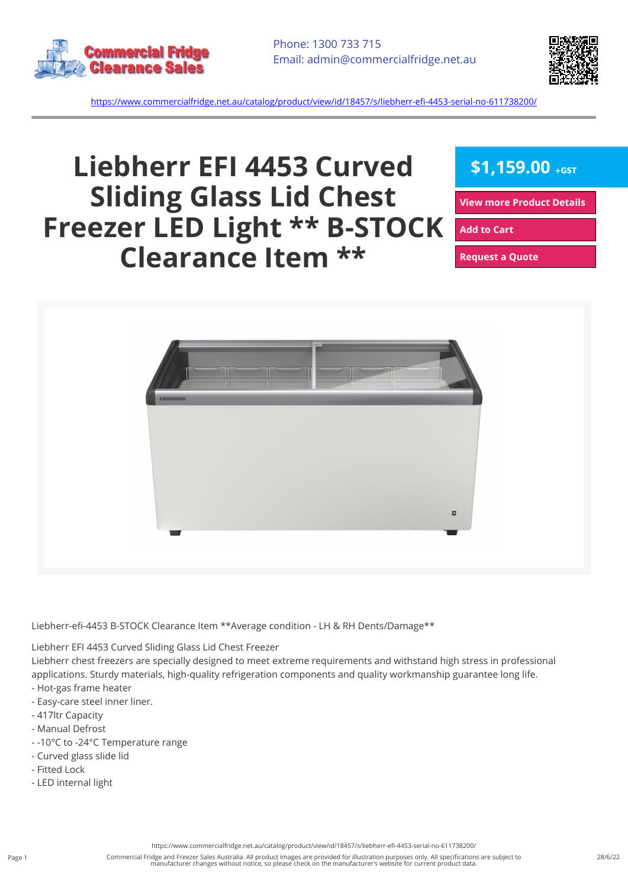



<https://www.commercialfridge.net.au/catalog/product/view/id/18457/s/liebherr-efi-4453-serial-no-611738200/>

## **Liebherr EFI 4453 Curved Sliding Glass Lid Chest Freezer LED Light \*\* B-STOCK Clearance Item \*\***

 $$1,159.00$  +GST

**[View more Product Details](https://www.commercialfridge.net.au/catalog/product/view/id/18457/s/liebherr-efi-4453-serial-no-611738200/)**

**[Add to Cart](https://www.commercialfridge.net.au/catalog/product/view/id/18457/s/liebherr-efi-4453-serial-no-611738200/?addtocart=1)** 

**[Request a Quote](https://www.commercialfridge.net.au/catalog/product/view/id/18457/s/liebherr-efi-4453-serial-no-611738200/?requestaquote=1)** 



Liebherr-efi-4453 B-STOCK Clearance Item \*\*Average condition - LH & RH Dents/Damage\*\*

Liebherr EFI 4453 Curved Sliding Glass Lid Chest Freezer

Liebherr chest freezers are specially designed to meet extreme requirements and withstand high stress in professional applications. Sturdy materials, high-quality refrigeration components and quality workmanship guarantee long life.

- Hot-gas frame heater
- Easy-care steel inner liner.
- 417ltr Capacity
- Manual Defrost
- -10°C to -24°C Temperature range
- Curved glass slide lid
- Fitted Lock
- LED internal light

<https://www.commercialfridge.net.au/catalog/product/view/id/18457/s/liebherr-efi-4453-serial-no-611738200/>

Commercial Fridge and Freezer Sales Australia. All product images are provided for illustration purposes only. All specifications are subject to manufacturer changes without notice, so please check on the manufacturer's website for current product data.